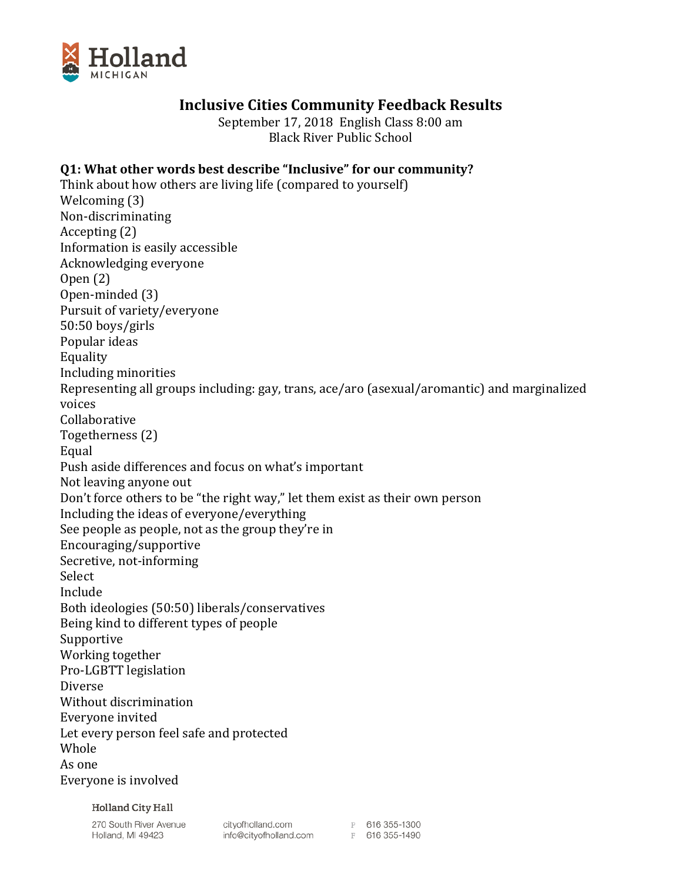

# **Inclusive Cities Community Feedback Results**

September 17, 2018 English Class 8:00 am Black River Public School

## **Q1: What other words best describe "Inclusive" for our community?**

Think about how others are living life (compared to yourself) Welcoming (3) Non-discriminating Accepting (2) Information is easily accessible Acknowledging everyone Open (2) Open-minded (3) Pursuit of variety/everyone 50:50 boys/girls Popular ideas Equality Including minorities Representing all groups including: gay, trans, ace/aro (asexual/aromantic) and marginalized voices Collaborative Togetherness (2) Equal Push aside differences and focus on what's important Not leaving anyone out Don't force others to be "the right way," let them exist as their own person Including the ideas of everyone/everything See people as people, not as the group they're in Encouraging/supportive Secretive, not-informing Select Include Both ideologies (50:50) liberals/conservatives Being kind to different types of people Supportive Working together Pro-LGBTT legislation Diverse Without discrimination Everyone invited Let every person feel safe and protected Whole As one Everyone is involved

**Holland City Hall** 

270 South River Avenue Holland, MI 49423

cityofholland.com<br>
info@cityofholland.com<br>
F 616 355-1490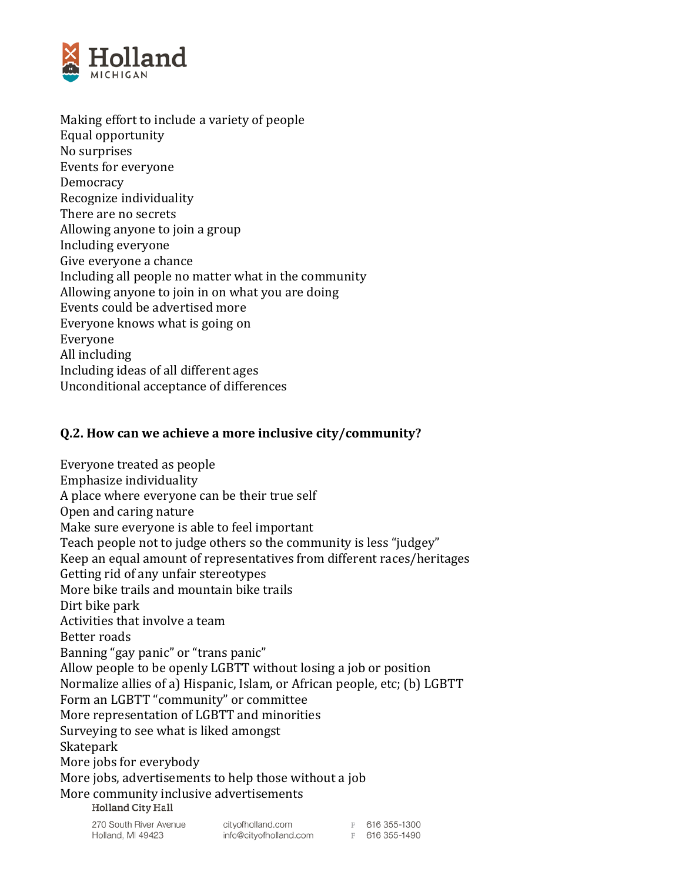

Making effort to include a variety of people Equal opportunity No surprises Events for everyone Democracy Recognize individuality There are no secrets Allowing anyone to join a group Including everyone Give everyone a chance Including all people no matter what in the community Allowing anyone to join in on what you are doing Events could be advertised more Everyone knows what is going on Everyone All including Including ideas of all different ages Unconditional acceptance of differences

### **Q.2. How can we achieve a more inclusive city/community?**

Everyone treated as people Emphasize individuality A place where everyone can be their true self Open and caring nature Make sure everyone is able to feel important Teach people not to judge others so the community is less "judgey" Keep an equal amount of representatives from different races/heritages Getting rid of any unfair stereotypes More bike trails and mountain bike trails Dirt bike park Activities that involve a team Better roads Banning "gay panic" or "trans panic" Allow people to be openly LGBTT without losing a job or position Normalize allies of a) Hispanic, Islam, or African people, etc; (b) LGBTT Form an LGBTT "community" or committee More representation of LGBTT and minorities Surveying to see what is liked amongst Skatepark More jobs for everybody More jobs, advertisements to help those without a job More community inclusive advertisements<br>Holland City Hall

270 South River Avenue Holland, MI 49423

cityofholland.com info@cityofholland.com P 616 355-1300 F 616 355-1490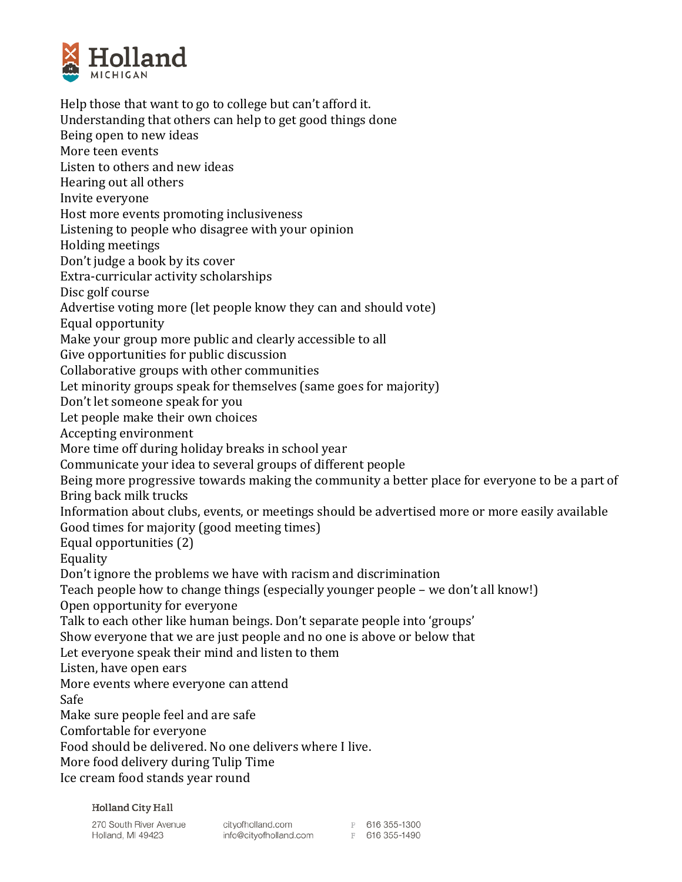

Help those that want to go to college but can't afford it. Understanding that others can help to get good things done Being open to new ideas More teen events Listen to others and new ideas Hearing out all others Invite everyone Host more events promoting inclusiveness Listening to people who disagree with your opinion Holding meetings Don't judge a book by its cover Extra-curricular activity scholarships Disc golf course Advertise voting more (let people know they can and should vote) Equal opportunity Make your group more public and clearly accessible to all Give opportunities for public discussion Collaborative groups with other communities Let minority groups speak for themselves (same goes for majority) Don't let someone speak for you Let people make their own choices Accepting environment More time off during holiday breaks in school year Communicate your idea to several groups of different people Being more progressive towards making the community a better place for everyone to be a part of Bring back milk trucks Information about clubs, events, or meetings should be advertised more or more easily available Good times for majority (good meeting times) Equal opportunities (2) Equality Don't ignore the problems we have with racism and discrimination Teach people how to change things (especially younger people – we don't all know!) Open opportunity for everyone Talk to each other like human beings. Don't separate people into 'groups' Show everyone that we are just people and no one is above or below that Let everyone speak their mind and listen to them Listen, have open ears More events where everyone can attend Safe Make sure people feel and are safe Comfortable for everyone Food should be delivered. No one delivers where I live. More food delivery during Tulip Time Ice cream food stands year round

**Holland City Hall** 

270 South River Avenue Holland, MI 49423

cityofholland.com info@cityofholland.com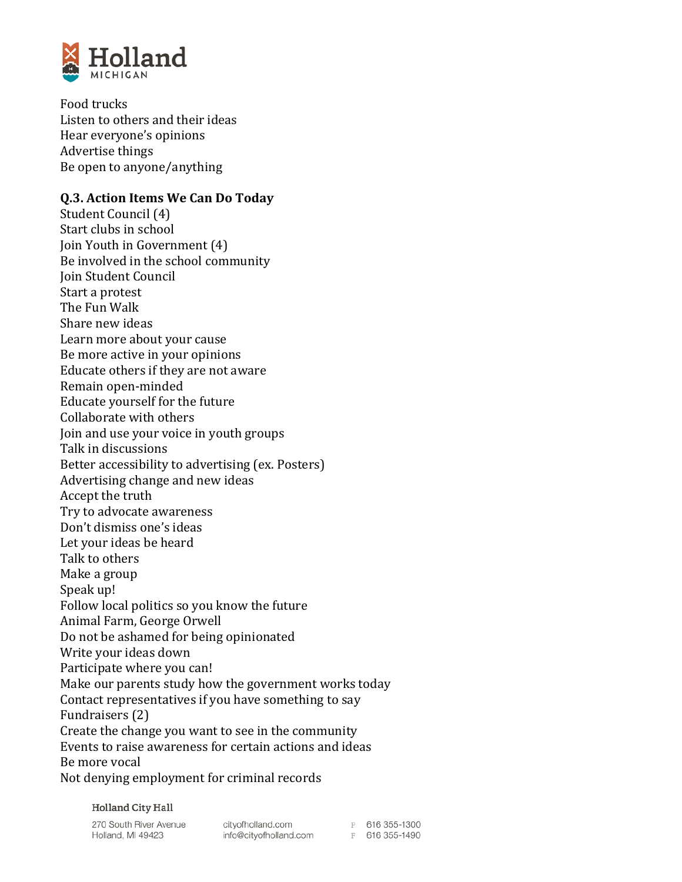

Food trucks Listen to others and their ideas Hear everyone's opinions Advertise things Be open to anyone/anything

# **Q.3. Action Items We Can Do Today**

Student Council (4) Start clubs in school Join Youth in Government (4) Be involved in the school community Join Student Council Start a protest The Fun Walk Share new ideas Learn more about your cause Be more active in your opinions Educate others if they are not aware Remain open-minded Educate yourself for the future Collaborate with others Join and use your voice in youth groups Talk in discussions Better accessibility to advertising (ex. Posters) Advertising change and new ideas Accept the truth Try to advocate awareness Don't dismiss one's ideas Let your ideas be heard Talk to others Make a group Speak up! Follow local politics so you know the future Animal Farm, George Orwell Do not be ashamed for being opinionated Write your ideas down Participate where you can! Make our parents study how the government works today Contact representatives if you have something to say Fundraisers (2) Create the change you want to see in the community Events to raise awareness for certain actions and ideas Be more vocal Not denying employment for criminal records

**Holland City Hall** 

270 South River Avenue Holland, MI 49423

cityofholland.com info@cityofholland.com P 616 355-1300 F 616 355-1490